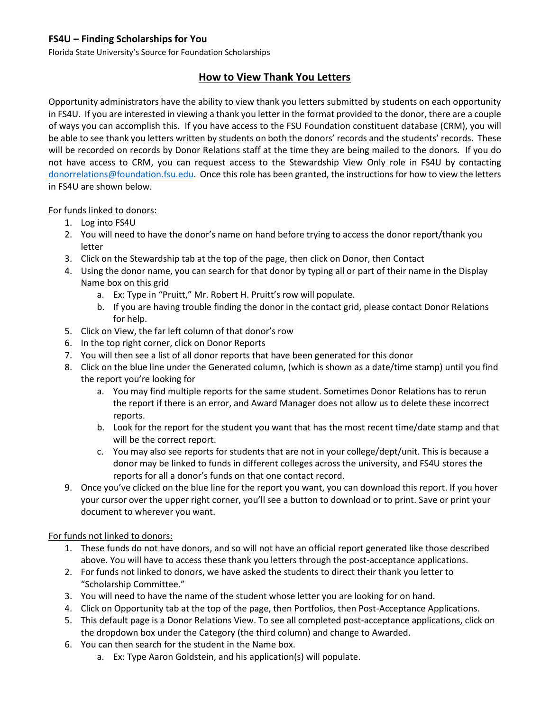# **FS4U – Finding Scholarships for You**

Florida State University's Source for Foundation Scholarships

# **How to View Thank You Letters**

Opportunity administrators have the ability to view thank you letters submitted by students on each opportunity in FS4U. If you are interested in viewing a thank you letter in the format provided to the donor, there are a couple of ways you can accomplish this. If you have access to the FSU Foundation constituent database (CRM), you will be able to see thank you letters written by students on both the donors' records and the students' records. These will be recorded on records by Donor Relations staff at the time they are being mailed to the donors. If you do not have access to CRM, you can request access to the Stewardship View Only role in FS4U by contacting [donorrelations@foundation.fsu.edu.](mailto:donorrelations@foundation.fsu.edu) Once this role has been granted, the instructions for how to view the letters in FS4U are shown below.

#### For funds linked to donors:

- 1. Log into FS4U
- 2. You will need to have the donor's name on hand before trying to access the donor report/thank you letter
- 3. Click on the Stewardship tab at the top of the page, then click on Donor, then Contact
- 4. Using the donor name, you can search for that donor by typing all or part of their name in the Display Name box on this grid
	- a. Ex: Type in "Pruitt," Mr. Robert H. Pruitt's row will populate.
	- b. If you are having trouble finding the donor in the contact grid, please contact Donor Relations for help.
- 5. Click on View, the far left column of that donor's row
- 6. In the top right corner, click on Donor Reports
- 7. You will then see a list of all donor reports that have been generated for this donor
- 8. Click on the blue line under the Generated column, (which is shown as a date/time stamp) until you find the report you're looking for
	- a. You may find multiple reports for the same student. Sometimes Donor Relations has to rerun the report if there is an error, and Award Manager does not allow us to delete these incorrect reports.
	- b. Look for the report for the student you want that has the most recent time/date stamp and that will be the correct report.
	- c. You may also see reports for students that are not in your college/dept/unit. This is because a donor may be linked to funds in different colleges across the university, and FS4U stores the reports for all a donor's funds on that one contact record.
- 9. Once you've clicked on the blue line for the report you want, you can download this report. If you hover your cursor over the upper right corner, you'll see a button to download or to print. Save or print your document to wherever you want.

#### For funds not linked to donors:

- 1. These funds do not have donors, and so will not have an official report generated like those described above. You will have to access these thank you letters through the post-acceptance applications.
- 2. For funds not linked to donors, we have asked the students to direct their thank you letter to "Scholarship Committee."
- 3. You will need to have the name of the student whose letter you are looking for on hand.
- 4. Click on Opportunity tab at the top of the page, then Portfolios, then Post-Acceptance Applications.
- 5. This default page is a Donor Relations View. To see all completed post-acceptance applications, click on the dropdown box under the Category (the third column) and change to Awarded.
- 6. You can then search for the student in the Name box.
	- a. Ex: Type Aaron Goldstein, and his application(s) will populate.